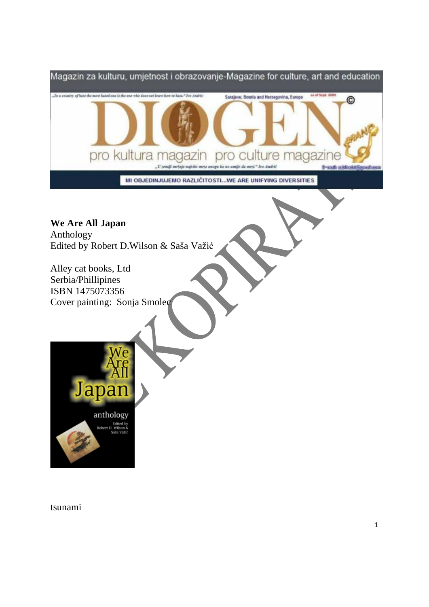

tsunami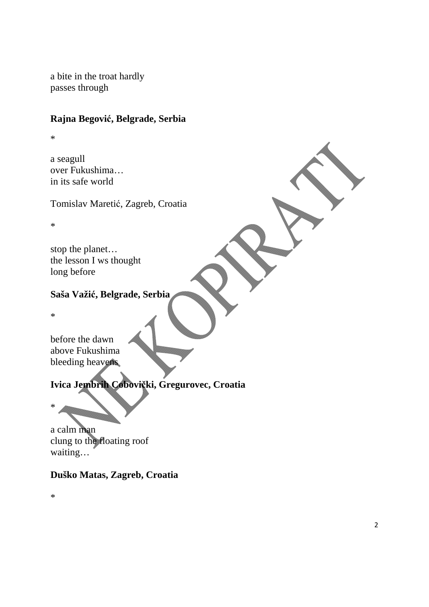a bite in the troat hardly passes through

#### **Rajna Begović, Belgrade, Serbia**

\*

a seagull over Fukushima… in its safe world

Tomislav Maretić, Zagreb, Croatia

\*

stop the planet… the lesson I ws thought long before

#### **Saša Važić, Belgrade, Serbia**

\*

before the dawn above Fukushima bleeding heavens

# **Ivica Jembrih Cobovički, Gregurovec, Croatia**

\*

a calm man clung to the floating roof waiting…

## **Duško Matas, Zagreb, Croatia**

\*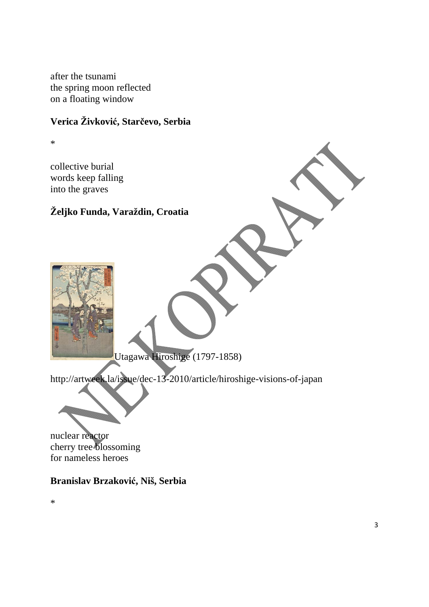after the tsunami the spring moon reflected on a floating window

## **Verica Živković, Starčevo, Serbia**

\*

collective burial words keep falling into the graves

### **Željko Funda, Varaždin, Croatia**

Utagawa Hiroshige (1797-1858)

http://artweek.la/issue/dec-13-2010/article/hiroshige-visions-of-japan

nuclear reactor cherry tree blossoming for nameless heroes

**Branislav Brzaković, Niš, Serbia** 

\*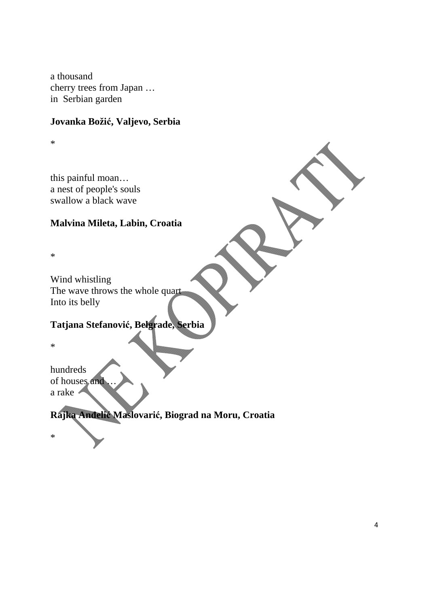a thousand cherry trees from Japan … in Serbian garden

#### **Jovanka Božić, Valjevo, Serbia**

\*

this painful moan… a nest of people's souls swallow a black wave

#### **Malvina Mileta, Labin, Croatia**

\*

Wind whistling The wave throws the whole quart Into its belly

## **Tatjana Stefanović, Belgrade, Serbia**

\*

hundreds of houses and a rake

**Rajka Anđelić Maslovarić, Biograd na Moru, Croatia** 

\*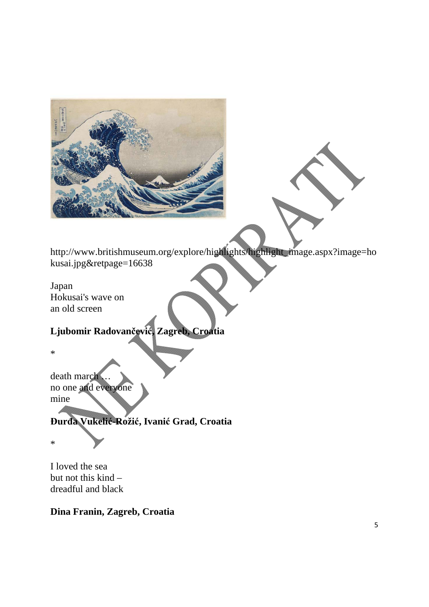

http://www.britishmuseum.org/explore/highlights/highlight\_image.aspx?image=ho kusai.jpg&retpage=16638

#### Japan Hokusai's wave on an old screen

## **Ljubomir Radovančević, Zagreb, Croatia**

\*

death march … no one and everyone mine

### **Đurđa Vukelić-Rožić, Ivanić Grad, Croatia**

\*

I loved the sea but not this kind – dreadful and black

#### **Dina Franin, Zagreb, Croatia**